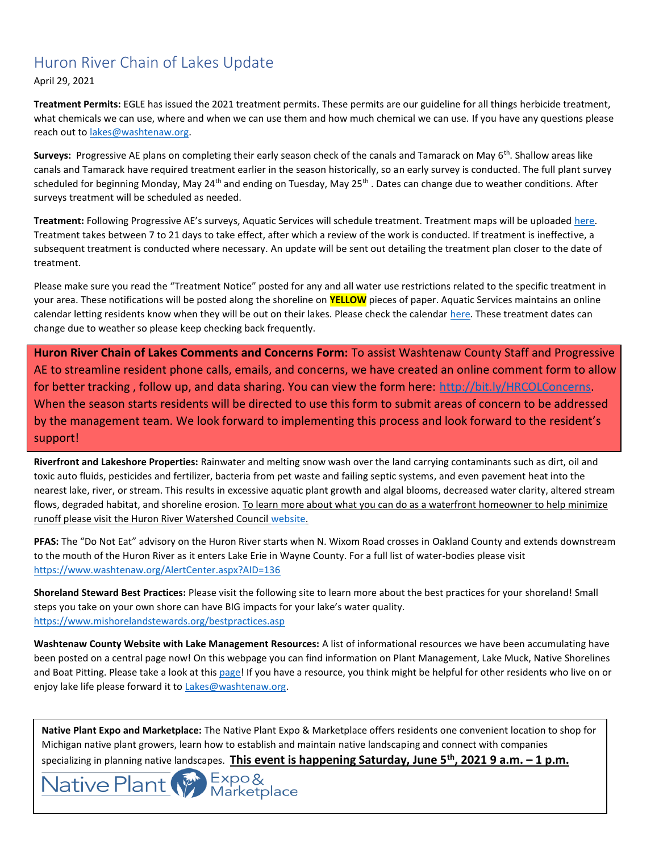## Huron River Chain of Lakes Update

April 29, 2021

**Treatment Permits:** EGLE has issued the 2021 treatment permits. These permits are our guideline for all things herbicide treatment, what chemicals we can use, where and when we can use them and how much chemical we can use. If you have any questions please reach out t[o lakes@washtenaw.org.](mailto:lakes@washtenaw.org) 

Surveys: Progressive AE plans on completing their early season check of the canals and Tamarack on May 6<sup>th</sup>. Shallow areas like canals and Tamarack have required treatment earlier in the season historically, so an early survey is conducted. The full plant survey scheduled for beginning Monday, May 24<sup>th</sup> and ending on Tuesday, May 25<sup>th</sup> . Dates can change due to weather conditions. After surveys treatment will be scheduled as needed.

**Treatment:** Following Progressive AE's surveys, Aquatic Services will schedule treatment. Treatment maps will be uploaded [here.](https://www.washtenaw.org/799/Chain-of-Lakes-Weed-Control-Activities) Treatment takes between 7 to 21 days to take effect, after which a review of the work is conducted. If treatment is ineffective, a subsequent treatment is conducted where necessary. An update will be sent out detailing the treatment plan closer to the date of treatment.

Please make sure you read the "Treatment Notice" posted for any and all water use restrictions related to the specific treatment in your area. These notifications will be posted along the shoreline on **YELLOW** pieces of paper. Aquatic Services maintains an online calendar letting residents know when they will be out on their lakes. Please check the calendar [here.](https://www.aquaticservicesinc.info/schedules) These treatment dates can change due to weather so please keep checking back frequently.

**Huron River Chain of Lakes Comments and Concerns Form:** To assist Washtenaw County Staff and Progressive AE to streamline resident phone calls, emails, and concerns, we have created an online comment form to allow for better tracking, follow up, and data sharing. You can view the form here: [http://bit.ly/HRCOLConcerns.](https://gcc02.safelinks.protection.outlook.com/?url=http%3A%2F%2Fbit.ly%2FHRCOLConcerns&data=04%7C01%7Ckoloskil%40washtenaw.org%7C6a622974c24143abebd208d8c84e999f%7C940f79927c85414e8cb10632dd3a5282%7C0%7C0%7C637479587198163427%7CUnknown%7CTWFpbGZsb3d8eyJWIjoiMC4wLjAwMDAiLCJQIjoiV2luMzIiLCJBTiI6Ik1haWwiLCJXVCI6Mn0%3D%7C1000&sdata=yJ0KR77LtVnQXq36fAcvcp0TclE69cTj5Oe%2FtMo9kx0%3D&reserved=0) When the season starts residents will be directed to use this form to submit areas of concern to be addressed by the management team. We look forward to implementing this process and look forward to the resident's support!

**Riverfront and Lakeshore Properties:** Rainwater and melting snow wash over the land carrying contaminants such as dirt, oil and toxic auto fluids, pesticides and fertilizer, bacteria from pet waste and failing septic systems, and even pavement heat into the nearest lake, river, or stream. This results in excessive aquatic plant growth and algal blooms, decreased water clarity, altered stream flows, degraded habitat, and shoreline erosion. To learn more about what you can do as a waterfront homeowner to help minimize runoff please visit the Huron River Watershed Council [website.](https://www.hrwc.org/take-action/at-home/riverfront-lakeshore-properties/)

**PFAS:** The "Do Not Eat" advisory on the Huron River starts when N. Wixom Road crosses in Oakland County and extends downstream to the mouth of the Huron River as it enters Lake Erie in Wayne County. For a full list of water-bodies please visit <https://www.washtenaw.org/AlertCenter.aspx?AID=136>

**Shoreland Steward Best Practices:** Please visit the following site to learn more about the best practices for your shoreland! Small steps you take on your own shore can have BIG impacts for your lake's water quality. [https://www.mishorelandstewards.org/bestpractices.asp](https://gcc01.safelinks.protection.outlook.com/?url=https%3A%2F%2Fwww.mishorelandstewards.org%2Fbestpractices.asp&data=02%7C01%7Ckoloskil%40washtenaw.org%7Cc1099d767abc47df4fd108d6ffc1b605%7C940f79927c85414e8cb10632dd3a5282%7C0%7C0%7C636977604786419415&sdata=y9VJuglOwLSYM%2F8PlrbVRfiz7aXv3RoGR2iMVcbKcuY%3D&reserved=0)

**Washtenaw County Website with Lake Management Resources:** A list of informational resources we have been accumulating have been posted on a central page now! On this webpage you can find information on Plant Management, Lake Muck, Native Shorelines and Boat Pitting. Please take a look at this [page!](https://www.washtenaw.org/3062/Lake-Management-Resources) If you have a resource, you think might be helpful for other residents who live on or enjoy lake life please forward it to [Lakes@washtenaw.org.](mailto:Lakes@washtenaw.org)

**Native Plant Expo and Marketplace:** The Native Plant Expo & Marketplace offers residents one convenient location to shop for Michigan native plant growers, learn how to establish and maintain native landscaping and connect with companies

specializing in planning native landscapes. **This event is happening Saturday, June 5th, 2021 9 a.m. – 1 p.m.**